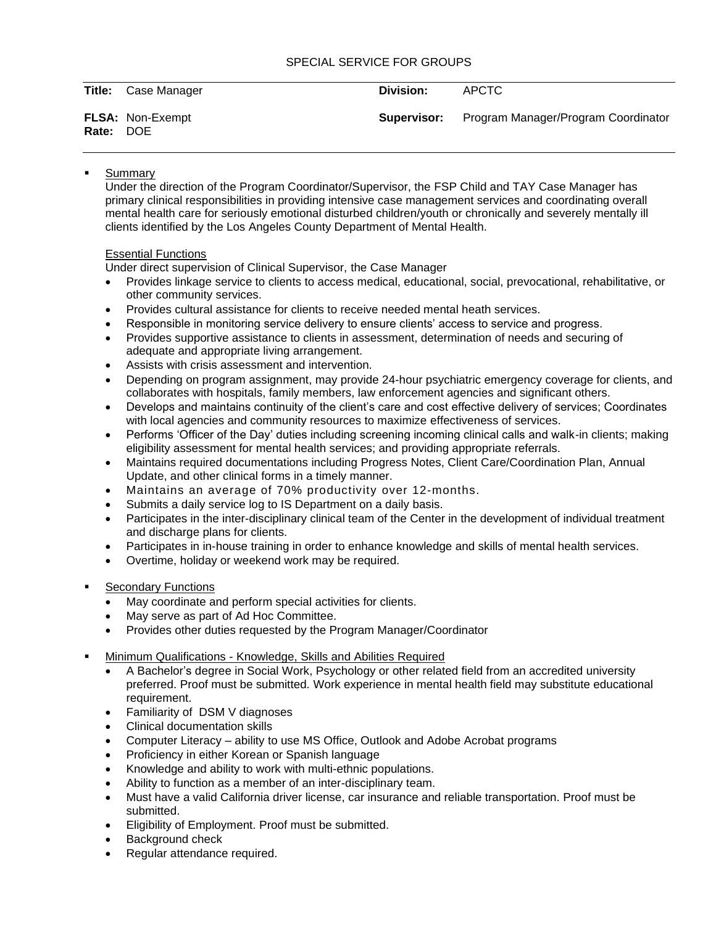## SPECIAL SERVICE FOR GROUPS

Title: Case Manager **Division:** APCTC

**Rate:** DOE

**FLSA:** Non-Exempt **Supervisor:** Program Manager/Program Coordinator

## **Summary**

Under the direction of the Program Coordinator/Supervisor, the FSP Child and TAY Case Manager has primary clinical responsibilities in providing intensive case management services and coordinating overall mental health care for seriously emotional disturbed children/youth or chronically and severely mentally ill clients identified by the Los Angeles County Department of Mental Health.

# Essential Functions

Under direct supervision of Clinical Supervisor, the Case Manager

- Provides linkage service to clients to access medical, educational, social, prevocational, rehabilitative, or other community services.
- Provides cultural assistance for clients to receive needed mental heath services.
- Responsible in monitoring service delivery to ensure clients' access to service and progress.
- Provides supportive assistance to clients in assessment, determination of needs and securing of adequate and appropriate living arrangement.
- Assists with crisis assessment and intervention.
- Depending on program assignment, may provide 24-hour psychiatric emergency coverage for clients, and collaborates with hospitals, family members, law enforcement agencies and significant others.
- Develops and maintains continuity of the client's care and cost effective delivery of services; Coordinates with local agencies and community resources to maximize effectiveness of services.
- Performs 'Officer of the Day' duties including screening incoming clinical calls and walk-in clients; making eligibility assessment for mental health services; and providing appropriate referrals.
- Maintains required documentations including Progress Notes, Client Care/Coordination Plan, Annual Update, and other clinical forms in a timely manner.
- Maintains an average of 70% productivity over 12-months.
- Submits a daily service log to IS Department on a daily basis.
- Participates in the inter-disciplinary clinical team of the Center in the development of individual treatment and discharge plans for clients.
- Participates in in-house training in order to enhance knowledge and skills of mental health services.
- Overtime, holiday or weekend work may be required.
- **Secondary Functions** 
	- May coordinate and perform special activities for clients.
	- May serve as part of Ad Hoc Committee.
	- Provides other duties requested by the Program Manager/Coordinator
- Minimum Qualifications Knowledge, Skills and Abilities Required
	- A Bachelor's degree in Social Work, Psychology or other related field from an accredited university preferred. Proof must be submitted. Work experience in mental health field may substitute educational requirement.
	- Familiarity of DSM V diagnoses
	- Clinical documentation skills
	- Computer Literacy ability to use MS Office, Outlook and Adobe Acrobat programs
	- Proficiency in either Korean or Spanish language
	- Knowledge and ability to work with multi-ethnic populations.
	- Ability to function as a member of an inter-disciplinary team.
	- Must have a valid California driver license, car insurance and reliable transportation. Proof must be submitted.
	- Eligibility of Employment. Proof must be submitted.
	- Background check
	- Regular attendance required.